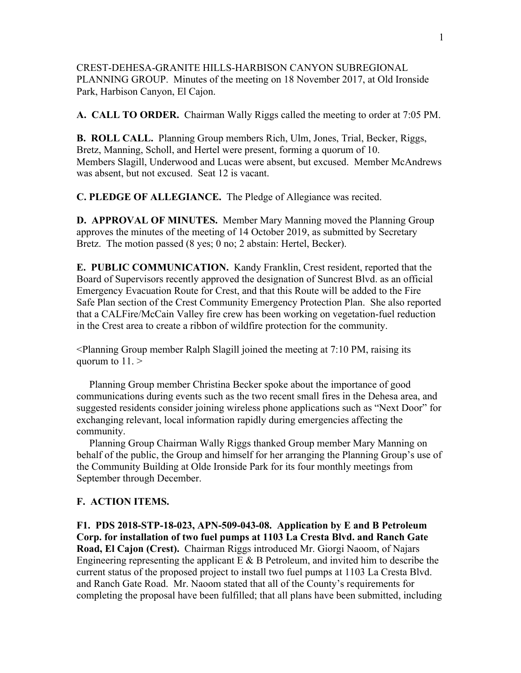CREST-DEHESA-GRANITE HILLS-HARBISON CANYON SUBREGIONAL PLANNING GROUP. Minutes of the meeting on 18 November 2017, at Old Ironside Park, Harbison Canyon, El Cajon.

**A. CALL TO ORDER.** Chairman Wally Riggs called the meeting to order at 7:05 PM.

**B. ROLL CALL.** Planning Group members Rich, Ulm, Jones, Trial, Becker, Riggs, Bretz, Manning, Scholl, and Hertel were present, forming a quorum of 10. Members Slagill, Underwood and Lucas were absent, but excused. Member McAndrews was absent, but not excused. Seat 12 is vacant.

**C. PLEDGE OF ALLEGIANCE.** The Pledge of Allegiance was recited.

**D. APPROVAL OF MINUTES.** Member Mary Manning moved the Planning Group approves the minutes of the meeting of 14 October 2019, as submitted by Secretary Bretz. The motion passed (8 yes; 0 no; 2 abstain: Hertel, Becker).

**E. PUBLIC COMMUNICATION.** Kandy Franklin, Crest resident, reported that the Board of Supervisors recently approved the designation of Suncrest Blvd. as an official Emergency Evacuation Route for Crest, and that this Route will be added to the Fire Safe Plan section of the Crest Community Emergency Protection Plan. She also reported that a CALFire/McCain Valley fire crew has been working on vegetation-fuel reduction in the Crest area to create a ribbon of wildfire protection for the community.

<Planning Group member Ralph Slagill joined the meeting at 7:10 PM, raising its quorum to 11. >

 Planning Group member Christina Becker spoke about the importance of good communications during events such as the two recent small fires in the Dehesa area, and suggested residents consider joining wireless phone applications such as "Next Door" for exchanging relevant, local information rapidly during emergencies affecting the community.

 Planning Group Chairman Wally Riggs thanked Group member Mary Manning on behalf of the public, the Group and himself for her arranging the Planning Group's use of the Community Building at Olde Ironside Park for its four monthly meetings from September through December.

## **F. ACTION ITEMS.**

**F1. PDS 2018-STP-18-023, APN-509-043-08. Application by E and B Petroleum Corp. for installation of two fuel pumps at 1103 La Cresta Blvd. and Ranch Gate Road, El Cajon (Crest).** Chairman Riggs introduced Mr. Giorgi Naoom, of Najars Engineering representing the applicant  $E \& B$  Petroleum, and invited him to describe the current status of the proposed project to install two fuel pumps at 1103 La Cresta Blvd. and Ranch Gate Road. Mr. Naoom stated that all of the County's requirements for completing the proposal have been fulfilled; that all plans have been submitted, including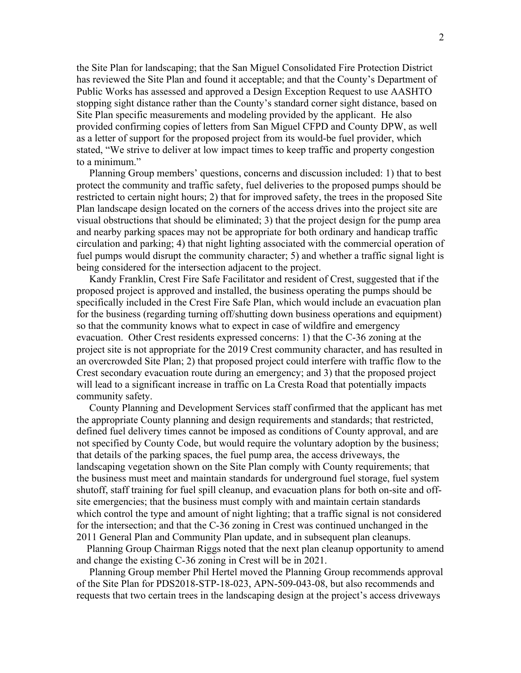the Site Plan for landscaping; that the San Miguel Consolidated Fire Protection District has reviewed the Site Plan and found it acceptable; and that the County's Department of Public Works has assessed and approved a Design Exception Request to use AASHTO stopping sight distance rather than the County's standard corner sight distance, based on Site Plan specific measurements and modeling provided by the applicant. He also provided confirming copies of letters from San Miguel CFPD and County DPW, as well as a letter of support for the proposed project from its would-be fuel provider, which stated, "We strive to deliver at low impact times to keep traffic and property congestion to a minimum."

 Planning Group members' questions, concerns and discussion included: 1) that to best protect the community and traffic safety, fuel deliveries to the proposed pumps should be restricted to certain night hours; 2) that for improved safety, the trees in the proposed Site Plan landscape design located on the corners of the access drives into the project site are visual obstructions that should be eliminated; 3) that the project design for the pump area and nearby parking spaces may not be appropriate for both ordinary and handicap traffic circulation and parking; 4) that night lighting associated with the commercial operation of fuel pumps would disrupt the community character; 5) and whether a traffic signal light is being considered for the intersection adjacent to the project.

 Kandy Franklin, Crest Fire Safe Facilitator and resident of Crest, suggested that if the proposed project is approved and installed, the business operating the pumps should be specifically included in the Crest Fire Safe Plan, which would include an evacuation plan for the business (regarding turning off/shutting down business operations and equipment) so that the community knows what to expect in case of wildfire and emergency evacuation. Other Crest residents expressed concerns: 1) that the C-36 zoning at the project site is not appropriate for the 2019 Crest community character, and has resulted in an overcrowded Site Plan; 2) that proposed project could interfere with traffic flow to the Crest secondary evacuation route during an emergency; and 3) that the proposed project will lead to a significant increase in traffic on La Cresta Road that potentially impacts community safety.

 County Planning and Development Services staff confirmed that the applicant has met the appropriate County planning and design requirements and standards; that restricted, defined fuel delivery times cannot be imposed as conditions of County approval, and are not specified by County Code, but would require the voluntary adoption by the business; that details of the parking spaces, the fuel pump area, the access driveways, the landscaping vegetation shown on the Site Plan comply with County requirements; that the business must meet and maintain standards for underground fuel storage, fuel system shutoff, staff training for fuel spill cleanup, and evacuation plans for both on-site and offsite emergencies; that the business must comply with and maintain certain standards which control the type and amount of night lighting; that a traffic signal is not considered for the intersection; and that the C-36 zoning in Crest was continued unchanged in the 2011 General Plan and Community Plan update, and in subsequent plan cleanups.

 Planning Group Chairman Riggs noted that the next plan cleanup opportunity to amend and change the existing C-36 zoning in Crest will be in 2021.

 Planning Group member Phil Hertel moved the Planning Group recommends approval of the Site Plan for PDS2018-STP-18-023, APN-509-043-08, but also recommends and requests that two certain trees in the landscaping design at the project's access driveways